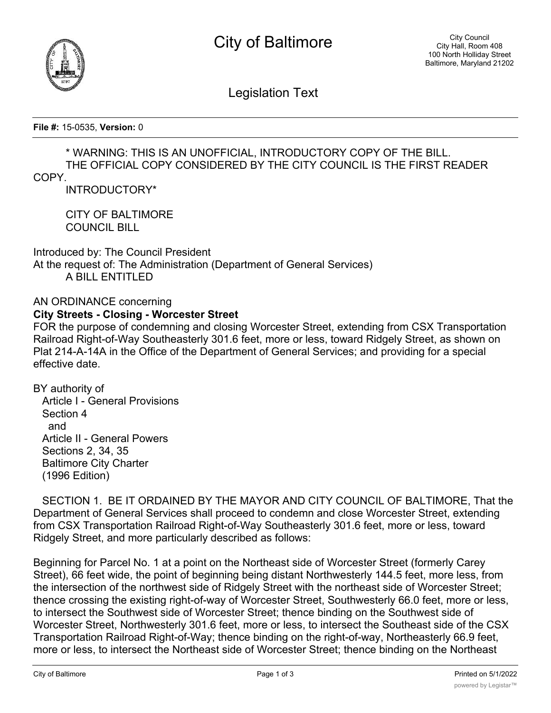



Legislation Text

**File #:** 15-0535, **Version:** 0

## \* WARNING: THIS IS AN UNOFFICIAL, INTRODUCTORY COPY OF THE BILL. THE OFFICIAL COPY CONSIDERED BY THE CITY COUNCIL IS THE FIRST READER

## COPY.

INTRODUCTORY\*

CITY OF BALTIMORE COUNCIL BILL

Introduced by: The Council President At the request of: The Administration (Department of General Services) A BILL ENTITLED

## AN ORDINANCE concerning **City Streets - Closing - Worcester Street**

FOR the purpose of condemning and closing Worcester Street, extending from CSX Transportation Railroad Right-of-Way Southeasterly 301.6 feet, more or less, toward Ridgely Street, as shown on Plat 214-A-14A in the Office of the Department of General Services; and providing for a special effective date.

BY authority of

 Article I - General Provisions Section 4 and Article II - General Powers Sections 2, 34, 35 Baltimore City Charter (1996 Edition)

 SECTION 1. BE IT ORDAINED BY THE MAYOR AND CITY COUNCIL OF BALTIMORE, That the Department of General Services shall proceed to condemn and close Worcester Street, extending from CSX Transportation Railroad Right-of-Way Southeasterly 301.6 feet, more or less, toward Ridgely Street, and more particularly described as follows:

Beginning for Parcel No. 1 at a point on the Northeast side of Worcester Street (formerly Carey Street), 66 feet wide, the point of beginning being distant Northwesterly 144.5 feet, more less, from the intersection of the northwest side of Ridgely Street with the northeast side of Worcester Street; thence crossing the existing right-of-way of Worcester Street, Southwesterly 66.0 feet, more or less, to intersect the Southwest side of Worcester Street; thence binding on the Southwest side of Worcester Street, Northwesterly 301.6 feet, more or less, to intersect the Southeast side of the CSX Transportation Railroad Right-of-Way; thence binding on the right-of-way, Northeasterly 66.9 feet, more or less, to intersect the Northeast side of Worcester Street; thence binding on the Northeast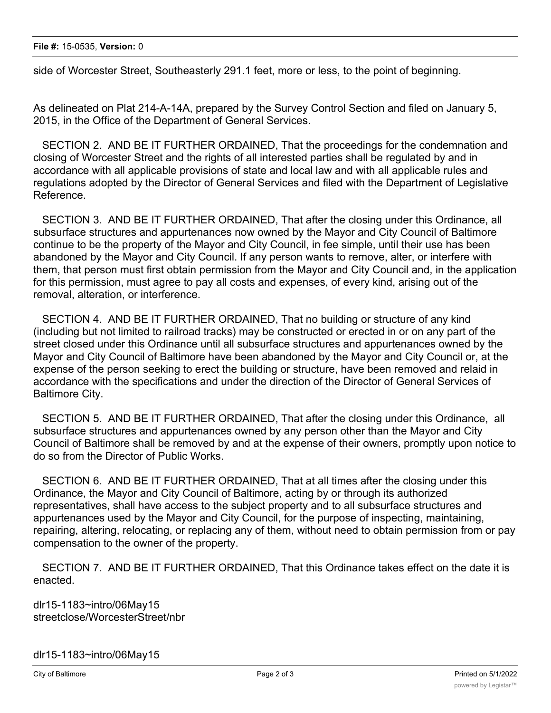side of Worcester Street, Southeasterly 291.1 feet, more or less, to the point of beginning.

As delineated on Plat 214-A-14A, prepared by the Survey Control Section and filed on January 5, 2015, in the Office of the Department of General Services.

 SECTION 2. AND BE IT FURTHER ORDAINED, That the proceedings for the condemnation and closing of Worcester Street and the rights of all interested parties shall be regulated by and in accordance with all applicable provisions of state and local law and with all applicable rules and regulations adopted by the Director of General Services and filed with the Department of Legislative Reference.

 SECTION 3. AND BE IT FURTHER ORDAINED, That after the closing under this Ordinance, all subsurface structures and appurtenances now owned by the Mayor and City Council of Baltimore continue to be the property of the Mayor and City Council, in fee simple, until their use has been abandoned by the Mayor and City Council. If any person wants to remove, alter, or interfere with them, that person must first obtain permission from the Mayor and City Council and, in the application for this permission, must agree to pay all costs and expenses, of every kind, arising out of the removal, alteration, or interference.

 SECTION 4. AND BE IT FURTHER ORDAINED, That no building or structure of any kind (including but not limited to railroad tracks) may be constructed or erected in or on any part of the street closed under this Ordinance until all subsurface structures and appurtenances owned by the Mayor and City Council of Baltimore have been abandoned by the Mayor and City Council or, at the expense of the person seeking to erect the building or structure, have been removed and relaid in accordance with the specifications and under the direction of the Director of General Services of Baltimore City.

 SECTION 5. AND BE IT FURTHER ORDAINED, That after the closing under this Ordinance, all subsurface structures and appurtenances owned by any person other than the Mayor and City Council of Baltimore shall be removed by and at the expense of their owners, promptly upon notice to do so from the Director of Public Works.

 SECTION 6. AND BE IT FURTHER ORDAINED, That at all times after the closing under this Ordinance, the Mayor and City Council of Baltimore, acting by or through its authorized representatives, shall have access to the subject property and to all subsurface structures and appurtenances used by the Mayor and City Council, for the purpose of inspecting, maintaining, repairing, altering, relocating, or replacing any of them, without need to obtain permission from or pay compensation to the owner of the property.

 SECTION 7. AND BE IT FURTHER ORDAINED, That this Ordinance takes effect on the date it is enacted.

dlr15-1183~intro/06May15 streetclose/WorcesterStreet/nbr

dlr15-1183~intro/06May15